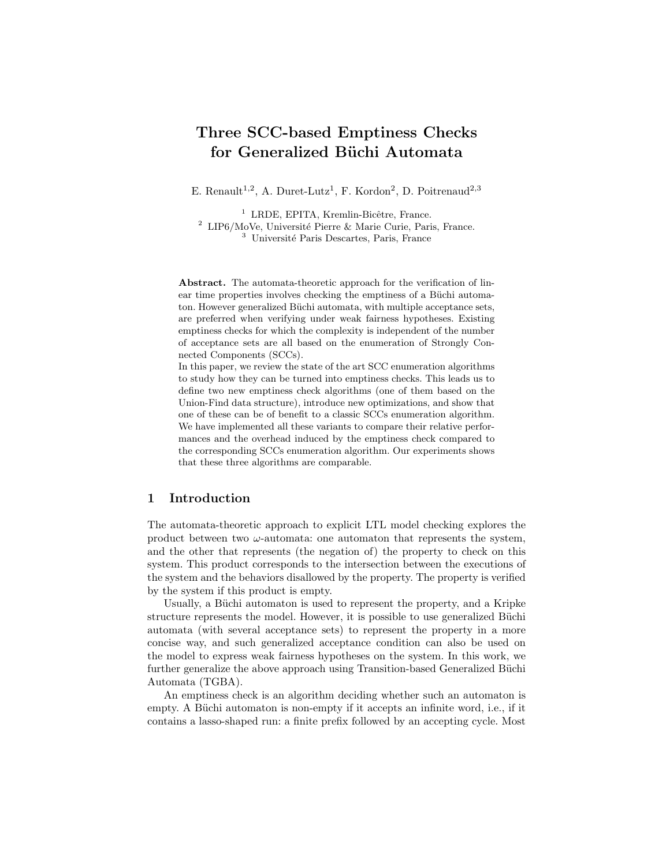# Three SCC-based Emptiness Checks for Generalized Büchi Automata

E. Renault<sup>1,2</sup>, A. Duret-Lutz<sup>1</sup>, F. Kordon<sup>2</sup>, D. Poitrenaud<sup>2,3</sup>

 $<sup>1</sup>$  LRDE, EPITA, Kremlin-Bicêtre, France.</sup>  $2$  LIP6/MoVe, Université Pierre & Marie Curie, Paris, France. <sup>3</sup> Université Paris Descartes, Paris, France

Abstract. The automata-theoretic approach for the verification of linear time properties involves checking the emptiness of a Büchi automaton. However generalized Büchi automata, with multiple acceptance sets, are preferred when verifying under weak fairness hypotheses. Existing emptiness checks for which the complexity is independent of the number of acceptance sets are all based on the enumeration of Strongly Connected Components (SCCs).

In this paper, we review the state of the art SCC enumeration algorithms to study how they can be turned into emptiness checks. This leads us to define two new emptiness check algorithms (one of them based on the Union-Find data structure), introduce new optimizations, and show that one of these can be of benefit to a classic SCCs enumeration algorithm. We have implemented all these variants to compare their relative performances and the overhead induced by the emptiness check compared to the corresponding SCCs enumeration algorithm. Our experiments shows that these three algorithms are comparable.

# 1 Introduction

The automata-theoretic approach to explicit LTL model checking explores the product between two  $\omega$ -automata: one automaton that represents the system, and the other that represents (the negation of) the property to check on this system. This product corresponds to the intersection between the executions of the system and the behaviors disallowed by the property. The property is verified by the system if this product is empty.

Usually, a Büchi automaton is used to represent the property, and a Kripke structure represents the model. However, it is possible to use generalized Büchi automata (with several acceptance sets) to represent the property in a more concise way, and such generalized acceptance condition can also be used on the model to express weak fairness hypotheses on the system. In this work, we further generalize the above approach using Transition-based Generalized Büchi Automata (TGBA).

An emptiness check is an algorithm deciding whether such an automaton is empty. A Büchi automaton is non-empty if it accepts an infinite word, i.e., if it contains a lasso-shaped run: a finite prefix followed by an accepting cycle. Most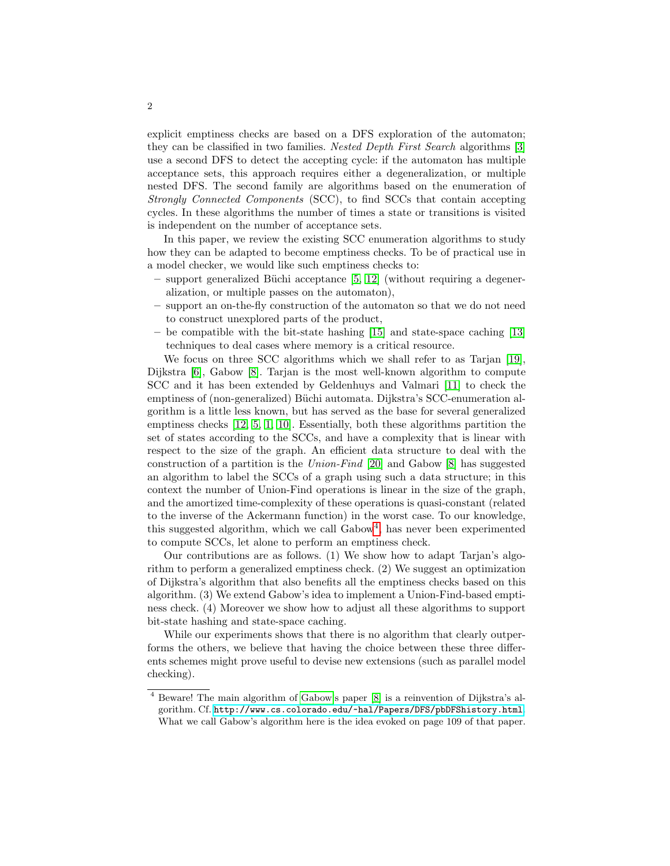explicit emptiness checks are based on a DFS exploration of the automaton; they can be classified in two families. Nested Depth First Search algorithms [\[3\]](#page-14-0) use a second DFS to detect the accepting cycle: if the automaton has multiple acceptance sets, this approach requires either a degeneralization, or multiple nested DFS. The second family are algorithms based on the enumeration of Strongly Connected Components (SCC), to find SCCs that contain accepting cycles. In these algorithms the number of times a state or transitions is visited is independent on the number of acceptance sets.

In this paper, we review the existing SCC enumeration algorithms to study how they can be adapted to become emptiness checks. To be of practical use in a model checker, we would like such emptiness checks to:

- $-$  support generalized Büchi acceptance [\[5,](#page-14-1) [12\]](#page-14-2) (without requiring a degeneralization, or multiple passes on the automaton),
- support an on-the-fly construction of the automaton so that we do not need to construct unexplored parts of the product,
- be compatible with the bit-state hashing [\[15\]](#page-14-3) and state-space caching [\[13\]](#page-14-4) techniques to deal cases where memory is a critical resource.

We focus on three SCC algorithms which we shall refer to as Tarjan [\[19\]](#page-14-5), Dijkstra [\[6\]](#page-14-6), Gabow [\[8\]](#page-14-7). Tarjan is the most well-known algorithm to compute SCC and it has been extended by Geldenhuys and Valmari [\[11\]](#page-14-8) to check the emptiness of (non-generalized) Büchi automata. Dijkstra's SCC-enumeration algorithm is a little less known, but has served as the base for several generalized emptiness checks [\[12,](#page-14-2) [5,](#page-14-1) [1,](#page-13-0) [10\]](#page-14-9). Essentially, both these algorithms partition the set of states according to the SCCs, and have a complexity that is linear with respect to the size of the graph. An efficient data structure to deal with the construction of a partition is the Union-Find [\[20\]](#page-14-10) and Gabow [\[8\]](#page-14-7) has suggested an algorithm to label the SCCs of a graph using such a data structure; in this context the number of Union-Find operations is linear in the size of the graph, and the amortized time-complexity of these operations is quasi-constant (related to the inverse of the Ackermann function) in the worst case. To our knowledge, this suggested algorithm, which we call Gabow<sup>[4](#page-1-0)</sup>, has never been experimented to compute SCCs, let alone to perform an emptiness check.

Our contributions are as follows. (1) We show how to adapt Tarjan's algorithm to perform a generalized emptiness check. (2) We suggest an optimization of Dijkstra's algorithm that also benefits all the emptiness checks based on this algorithm. (3) We extend Gabow's idea to implement a Union-Find-based emptiness check. (4) Moreover we show how to adjust all these algorithms to support bit-state hashing and state-space caching.

While our experiments shows that there is no algorithm that clearly outperforms the others, we believe that having the choice between these three differents schemes might prove useful to devise new extensions (such as parallel model checking).

<span id="page-1-0"></span><sup>4</sup> Beware! The main algorithm of [Gabow'](#page-14-7)s paper [\[8\]](#page-14-7) is a reinvention of Dijkstra's algorithm. Cf. <http://www.cs.colorado.edu/~hal/Papers/DFS/pbDFShistory.html>. What we call Gabow's algorithm here is the idea evoked on page 109 of that paper.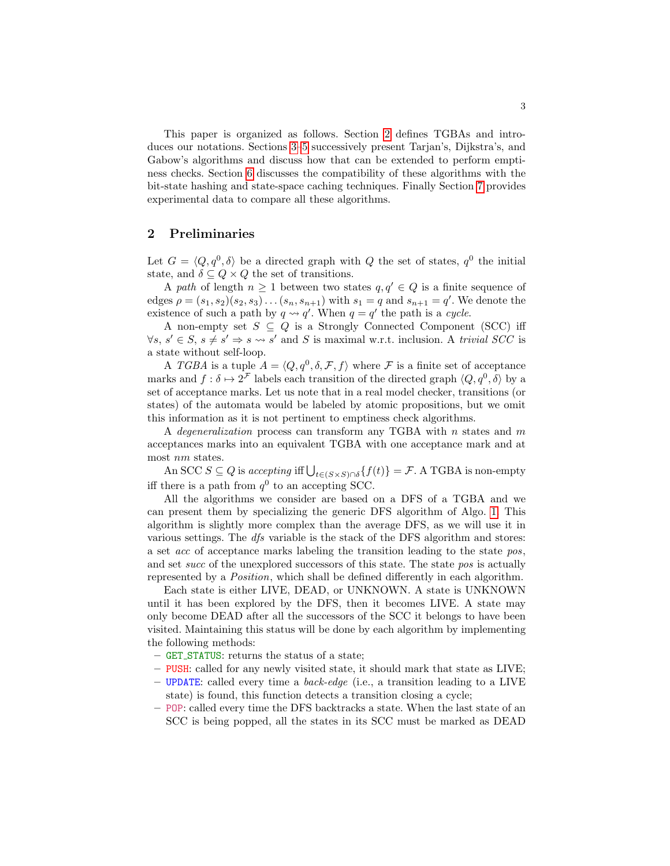This paper is organized as follows. Section [2](#page-2-0) defines TGBAs and introduces our notations. Sections [3](#page-3-0)[–5](#page-8-0) successively present Tarjan's, Dijkstra's, and Gabow's algorithms and discuss how that can be extended to perform emptiness checks. Section [6](#page-9-0) discusses the compatibility of these algorithms with the bit-state hashing and state-space caching techniques. Finally Section [7](#page-9-1) provides experimental data to compare all these algorithms.

# <span id="page-2-0"></span>2 Preliminaries

Let  $G = \langle Q, q^0, \delta \rangle$  be a directed graph with Q the set of states,  $q^0$  the initial state, and  $\delta \subseteq Q \times Q$  the set of transitions.

A path of length  $n \geq 1$  between two states  $q, q' \in Q$  is a finite sequence of edges  $\rho = (s_1, s_2)(s_2, s_3) \dots (s_n, s_{n+1})$  with  $s_1 = q$  and  $s_{n+1} = q'$ . We denote the existence of such a path by  $q \rightarrow q'$ . When  $q = q'$  the path is a cycle.

A non-empty set  $S \subseteq Q$  is a Strongly Connected Component (SCC) iff  $\forall s, s' \in S, s \neq s' \Rightarrow s \leadsto s'$  and S is maximal w.r.t. inclusion. A trivial SCC is a state without self-loop.

A TGBA is a tuple  $A = \langle Q, q^0, \delta, \mathcal{F}, f \rangle$  where F is a finite set of acceptance marks and  $f : \delta \mapsto 2^{\mathcal{F}}$  labels each transition of the directed graph  $\langle Q, q^0, \delta \rangle$  by a set of acceptance marks. Let us note that in a real model checker, transitions (or states) of the automata would be labeled by atomic propositions, but we omit this information as it is not pertinent to emptiness check algorithms.

A *degeneralization* process can transform any TGBA with  $n$  states and  $m$ acceptances marks into an equivalent TGBA with one acceptance mark and at most  $\it nm$  states.

An SCC  $S \subseteq Q$  is accepting iff  $\bigcup_{t \in (S \times S) \cap \delta} \{f(t)\} = \mathcal{F}$ . A TGBA is non-empty iff there is a path from  $q^0$  to an accepting SCC.

All the algorithms we consider are based on a DFS of a TGBA and we can present them by specializing the generic DFS algorithm of Algo. [1.](#page-3-1) This algorithm is slightly more complex than the average DFS, as we will use it in various settings. The *dfs* variable is the stack of the DFS algorithm and stores: a set acc of acceptance marks labeling the transition leading to the state pos, and set *succ* of the unexplored successors of this state. The state *pos* is actually represented by a Position, which shall be defined differently in each algorithm.

Each state is either LIVE, DEAD, or UNKNOWN. A state is UNKNOWN until it has been explored by the DFS, then it becomes LIVE. A state may only become DEAD after all the successors of the SCC it belongs to have been visited. Maintaining this status will be done by each algorithm by implementing the following methods:

- GET STATUS: returns the status of a state;
- PUSH: called for any newly visited state, it should mark that state as LIVE;
- UPDATE: called every time a back-edge (i.e., a transition leading to a LIVE state) is found, this function detects a transition closing a cycle;
- POP: called every time the DFS backtracks a state. When the last state of an SCC is being popped, all the states in its SCC must be marked as DEAD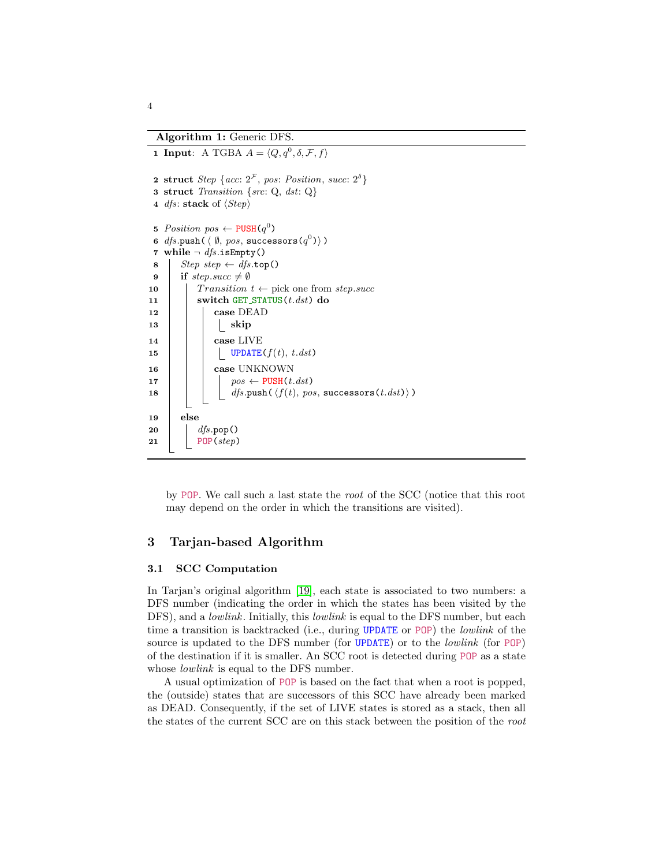Algorithm 1: Generic DFS.

```
1 Input: A TGBA A = \langle Q, q^0, \delta, \mathcal{F}, f \rangle2 struct Step {acc: 2^{\mathcal{F}}, pos: Position, succ: 2^{\delta}}
 3 struct Transition {src: Q, dst: Q}
 4 dfs: stack of \langle Step \rangle5 Position pos \leftarrow PUSH(q^0)
 6 \textit{dfs}. \texttt{push}(\, \langle \emptyset, \textit{pos}, \textit{successors}(q^0) \rangle \,)7 while \neg dfs.is Empty()
 8 Step step \leftarrow dfs.top()
 9 if step.succ \neq \emptyset10 Transition t \leftarrow pick one from step.succ
11 | switch GET_STATUS(t.dst) do
12 | | | case DEAD
13 | | | skip
14 \vert \vert \vert case LIVE
15 | | | UPDATE(f(t), t. dst)16 | | | | | case UNKNOWN
17 | | | pos \leftarrow \text{PUSH}(t.dst)18 dfs.push(\langle f(t), pos, successors(t.dst) \rangle)
19 else
20 | dfs.pop()21 | POP(step)
```
<span id="page-3-1"></span>by POP. We call such a last state the root of the SCC (notice that this root may depend on the order in which the transitions are visited).

### <span id="page-3-0"></span>3 Tarjan-based Algorithm

#### 3.1 SCC Computation

In Tarjan's original algorithm [\[19\]](#page-14-5), each state is associated to two numbers: a DFS number (indicating the order in which the states has been visited by the DFS), and a *lowlink*. Initially, this *lowlink* is equal to the DFS number, but each time a transition is backtracked (i.e., during UPDATE or POP) the *lowlink* of the source is updated to the DFS number (for UPDATE) or to the *lowlink* (for POP) of the destination if it is smaller. An SCC root is detected during POP as a state whose *lowlink* is equal to the DFS number.

A usual optimization of POP is based on the fact that when a root is popped, the (outside) states that are successors of this SCC have already been marked as DEAD. Consequently, if the set of LIVE states is stored as a stack, then all the states of the current SCC are on this stack between the position of the root

4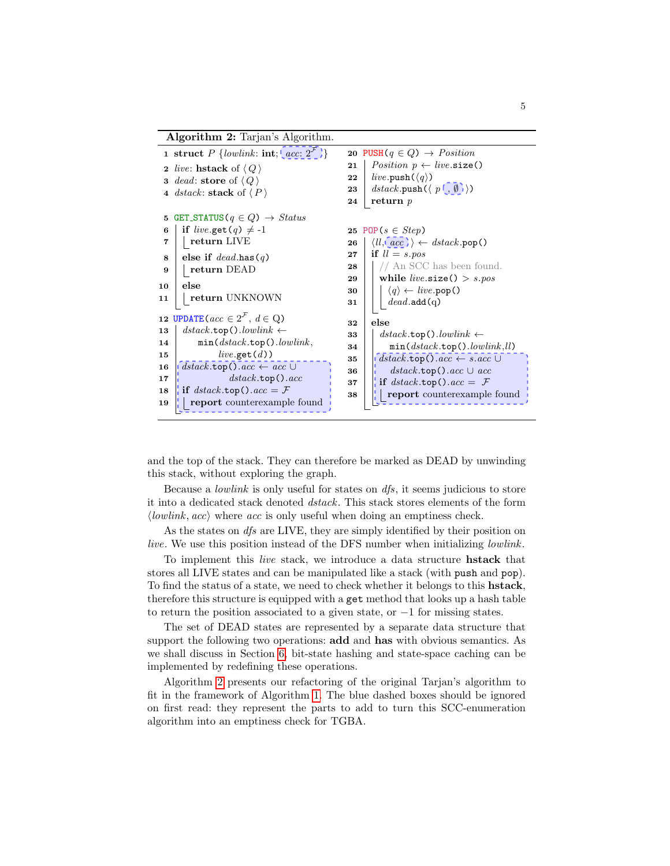<span id="page-4-6"></span><span id="page-4-5"></span>Algorithm 2: Tarjan's Algorithm.

|    | 1 struct P {lowlink: $\text{int}; [acc: 2^{\mathcal{F}}]$ }   |    | 20 PUSH $(q \in Q) \rightarrow Position$                                                                     |
|----|---------------------------------------------------------------|----|--------------------------------------------------------------------------------------------------------------|
|    | 2 live: hstack of $\langle Q \rangle$                         | 21 | Position $p \leftarrow live.\texttt{size}()$                                                                 |
|    | 3 <i>dead</i> : store of $\langle Q \rangle$                  | 22 | $live.\text{push}(\langle q \rangle)$                                                                        |
|    | 4 dstack: stack of $\langle P \rangle$                        | 23 | $\text{distack}.\text{push}(\langle p^{\langle}, \emptyset \rangle)$                                         |
|    |                                                               | 24 | return $p$                                                                                                   |
| 5  | GET_STATUS $(q \in Q) \rightarrow Status$                     |    |                                                                                                              |
| 6  | if live.get(q) $\neq$ -1                                      |    | 25 POP( $s \in Step$ )                                                                                       |
| 7  | return LIVE                                                   | 26 | $\langle ll, \lfloor acc \rfloor \rangle \leftarrow \text{dstack.pop()}$                                     |
| 8  | else if $dead \text{.has}(q)$                                 | 27 | if $ll = s. pos$                                                                                             |
| 9  | return DEAD                                                   | 28 | $//$ An SCC has been found.                                                                                  |
|    | else                                                          | 29 | while live $size() > s.pos$                                                                                  |
| 10 |                                                               | 30 | $\langle q \rangle \leftarrow live.pop()$                                                                    |
| 11 | return UNKNOWN                                                | 31 | $dead$ .add $(q)$                                                                                            |
|    | 12 UPDATE ( $acc \in 2^{\mathcal{F}}$ , $d \in \mathbb{Q}$ )  | 32 | else                                                                                                         |
| 13 | $\text{distack}.\texttt{top}().\text{lowlink} \leftarrow$     |    |                                                                                                              |
| 14 | $min(dstack.\text{top}(),lowlink,$                            | 33 | $\textit{dstack}.\texttt{top}().\textit{lowlink} \leftarrow$                                                 |
| 15 | live.get(d))                                                  | 34 | $min(dstack.\texttt{top}().lowlink, ll)$                                                                     |
| 16 | $dstack.\texttt{top}().acc \leftarrow acc \cup$               | 35 | $\mathsf{I} \; \text{d} \text{stack}.\text{top}() \text{.} \text{acc} \leftarrow s \text{.} \text{acc} \cup$ |
| 17 | $\text{distack}.\texttt{top}() \text{} acc$                   | 36 | $\textit{dstack}.\texttt{top}().\textit{acc} \cup \textit{acc}$                                              |
| 18 | if $\text{distack}.\text{top}()$ . $\text{acc} = \mathcal{F}$ | 37 | if $\text{distack}.\text{top}() \cdot \text{acc} = \mathcal{F}$                                              |
|    |                                                               | 38 | report counterexample found                                                                                  |
| 19 | report counterexample found                                   |    |                                                                                                              |

<span id="page-4-12"></span><span id="page-4-11"></span><span id="page-4-10"></span><span id="page-4-9"></span><span id="page-4-8"></span><span id="page-4-7"></span><span id="page-4-4"></span><span id="page-4-3"></span><span id="page-4-2"></span><span id="page-4-1"></span><span id="page-4-0"></span>and the top of the stack. They can therefore be marked as DEAD by unwinding this stack, without exploring the graph.

Because a *lowlink* is only useful for states on  $df_s$ , it seems judicious to store it into a dedicated stack denoted dstack. This stack stores elements of the form  $\langle \textit{lowlink}, \textit{acc} \rangle$  where  $\textit{acc}$  is only useful when doing an emptiness check.

As the states on *dfs* are LIVE, they are simply identified by their position on live. We use this position instead of the DFS number when initializing lowlink.

To implement this live stack, we introduce a data structure hstack that stores all LIVE states and can be manipulated like a stack (with push and pop). To find the status of a state, we need to check whether it belongs to this hstack, therefore this structure is equipped with a get method that looks up a hash table to return the position associated to a given state, or  $-1$  for missing states.

The set of DEAD states are represented by a separate data structure that support the following two operations: **add** and **has** with obvious semantics. As we shall discuss in Section [6,](#page-9-0) bit-state hashing and state-space caching can be implemented by redefining these operations.

Algorithm [2](#page-4-0) presents our refactoring of the original Tarjan's algorithm to fit in the framework of Algorithm [1.](#page-3-1) The blue dashed boxes should be ignored on first read: they represent the parts to add to turn this SCC-enumeration algorithm into an emptiness check for TGBA.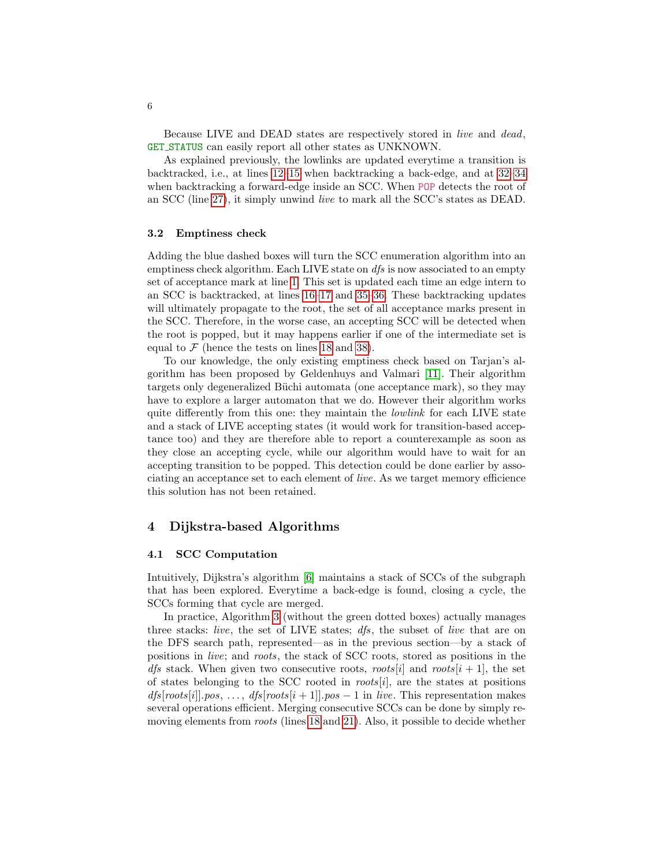Because LIVE and DEAD states are respectively stored in live and dead, GET STATUS can easily report all other states as UNKNOWN.

As explained previously, the lowlinks are updated everytime a transition is backtracked, i.e., at lines [12](#page-4-1)[–15](#page-4-2) when backtracking a back-edge, and at [32–](#page-4-3)[34](#page-4-4) when backtracking a forward-edge inside an SCC. When POP detects the root of an SCC (line [27\)](#page-4-5), it simply unwind live to mark all the SCC's states as DEAD.

#### <span id="page-5-0"></span>3.2 Emptiness check

Adding the blue dashed boxes will turn the SCC enumeration algorithm into an emptiness check algorithm. Each LIVE state on  $dfs$  is now associated to an empty set of acceptance mark at line [1.](#page-4-6) This set is updated each time an edge intern to an SCC is backtracked, at lines [16–](#page-4-7)[17](#page-4-8) and [35](#page-4-9)[–36.](#page-4-10) These backtracking updates will ultimately propagate to the root, the set of all acceptance marks present in the SCC. Therefore, in the worse case, an accepting SCC will be detected when the root is popped, but it may happens earlier if one of the intermediate set is equal to  $\mathcal F$  (hence the tests on lines [18](#page-4-11) and [38\)](#page-4-12).

To our knowledge, the only existing emptiness check based on Tarjan's algorithm has been proposed by Geldenhuys and Valmari [\[11\]](#page-14-8). Their algorithm targets only degeneralized Büchi automata (one acceptance mark), so they may have to explore a larger automaton that we do. However their algorithm works quite differently from this one: they maintain the *lowlink* for each LIVE state and a stack of LIVE accepting states (it would work for transition-based acceptance too) and they are therefore able to report a counterexample as soon as they close an accepting cycle, while our algorithm would have to wait for an accepting transition to be popped. This detection could be done earlier by associating an acceptance set to each element of live. As we target memory efficience this solution has not been retained.

# 4 Dijkstra-based Algorithms

#### 4.1 SCC Computation

Intuitively, Dijkstra's algorithm [\[6\]](#page-14-6) maintains a stack of SCCs of the subgraph that has been explored. Everytime a back-edge is found, closing a cycle, the SCCs forming that cycle are merged.

In practice, Algorithm [3](#page-6-0) (without the green dotted boxes) actually manages three stacks: *live*, the set of LIVE states; *dfs*, the subset of *live* that are on the DFS search path, represented—as in the previous section—by a stack of positions in live; and roots, the stack of SCC roots, stored as positions in the *dfs* stack. When given two consecutive roots,  $roots[i]$  and  $roots[i + 1]$ , the set of states belonging to the SCC rooted in  $roots[i]$ , are the states at positions  $dfs[roots[i]].pos, \ldots, dfs[roots[i+1]].pos-1$  in live. This representation makes several operations efficient. Merging consecutive SCCs can be done by simply removing elements from *roots* (lines [18](#page-6-1) and [21\)](#page-6-2). Also, it possible to decide whether

6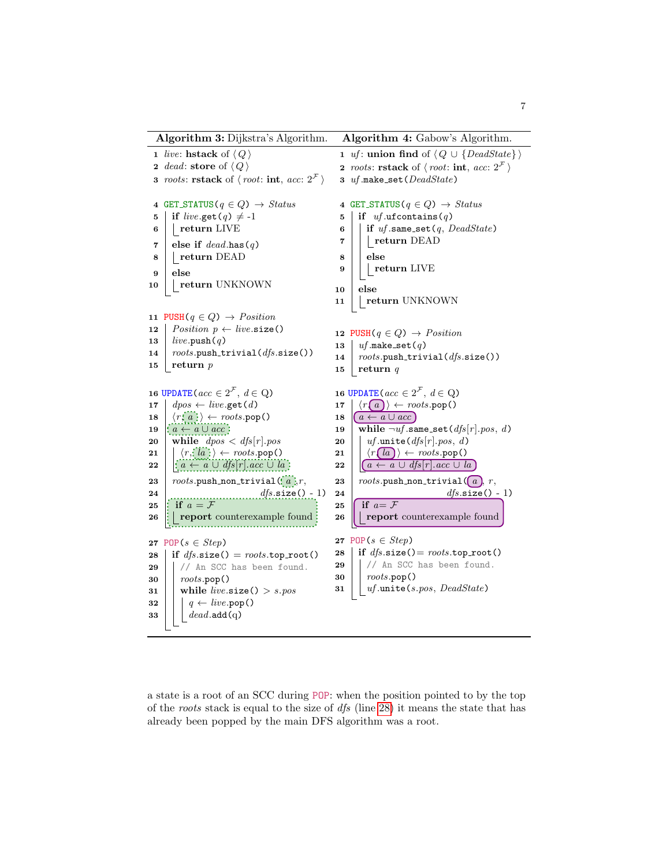Algorithm 3: Dijkstra's Algorithm. Algorithm 4: Gabow's Algorithm.

```
1 live: hstack of \langle Q \rangle2 dead: store of \langle Q \rangle3 roots: rstack of \langle root: \text{int}, acc: 2^{\mathcal{F}} \rangle4 GET_STATUS(q \in Q) \rightarrow Status5 | if live.get(q) \neq -16 return LIVE
 7 else if dead.\text{has}(q)8 | return DEAD
 9 else
10 | return UNKNOWN
11 PUSH(q \in Q) \rightarrow Position12 Position p \leftarrow live.size()13 \vert live.push(q)
14 roots.push\_trivial(dfs.size())15 return p16 UPDATE(acc \in 2^{\mathcal{F}}, d \in \mathbb{Q})
17 \vert dpos \leftarrow live.get(d)
18 \langle r, a \rangle \leftarrow roots.pop()19 a \leftarrow a \cup acc20 while dpos < dfs[r].pos21 \mid \langle r, \mathcal{U} a \rangle \leftarrow \text{roots.pop}()22 \left| \begin{array}{l} a \leftarrow a \cup dfs[r].acc \cup la \end{array} \right|23 roots.pushnon-trivial( a | n, r, q)24 \frac{dfs.size() - 1}{}25 if a = \mathcal{F}26 Parameter is a counterexample found
27 POP(s \in Step)
28 | if dfs.\texttt{size}() = roots.\texttt{top-root}()29 // An SCC has been found.
30 \mid \cdot \mid \text{roots.pop}()31 | while live.size() > s</sub>.32 || q \leftarrow live.pop()33 \vert \vert dead.add(q)1 uf: union find of \langle Q \cup \{DeadState\} \rangle2 roots: rstack of \langle root: \text{int}, acc: 2^{\mathcal{F}} \rangle3 uf.make_set(DeadState)
                                                     4 GET_STATUS(q \in Q) \rightarrow Status5 | if uf.\text{ufcontains}(q)6 | | if uf same set(q, DeadState)
                                                     7 | | return DEAD
                                                     8 \mid else
                                                     9 | | | return LIVE
                                                    10 else
                                                    11 | return UNKNOWN
                                                    12 PUSH(q \in Q) \rightarrow Position13 | uf.make_set(q)
                                                    14 roots.push\_trivial(dfs.size())15 return q16 UPDATE(acc \in 2^{\mathcal{F}}, d \in \mathbb{Q})
                                                    17 \mid \langle r(a) \rangle \leftarrow \text{roots.pop()}18 \left[a \leftarrow a \cup acc\right]19 while \neg u f same set (dfs[r].pos, d)20 | \muf.unite(dfs[r].pos, d)
                                                    21 \mid \langle r (l a) \rangle \leftarrow \text{roots.pop}()22 \left| \right| (a \leftarrow a \cup dfs[r].acc \cup la)23 roots.push-non-trivial (a), r,24 dfs.size() - 1)
                                                    25 if a = \mathcal{F}26 || report counterexample found
                                                    27 POP(s \in Step)
                                                    28 | if dfs.\texttt{size}() = roots.\texttt{top-root}()29 | \frac{1}{1} // An SCC has been found.
                                                    30 \mid \cdot \mid \text{roots.pop}()31 | uf.\text{unite}(s.pos, DeadState)
```
<span id="page-6-10"></span><span id="page-6-9"></span><span id="page-6-8"></span><span id="page-6-7"></span><span id="page-6-6"></span><span id="page-6-5"></span><span id="page-6-3"></span><span id="page-6-2"></span><span id="page-6-0"></span>a state is a root of an SCC during POP: when the position pointed to by the top of the roots stack is equal to the size of dfs (line [28\)](#page-6-3) it means the state that has already been popped by the main DFS algorithm was a root.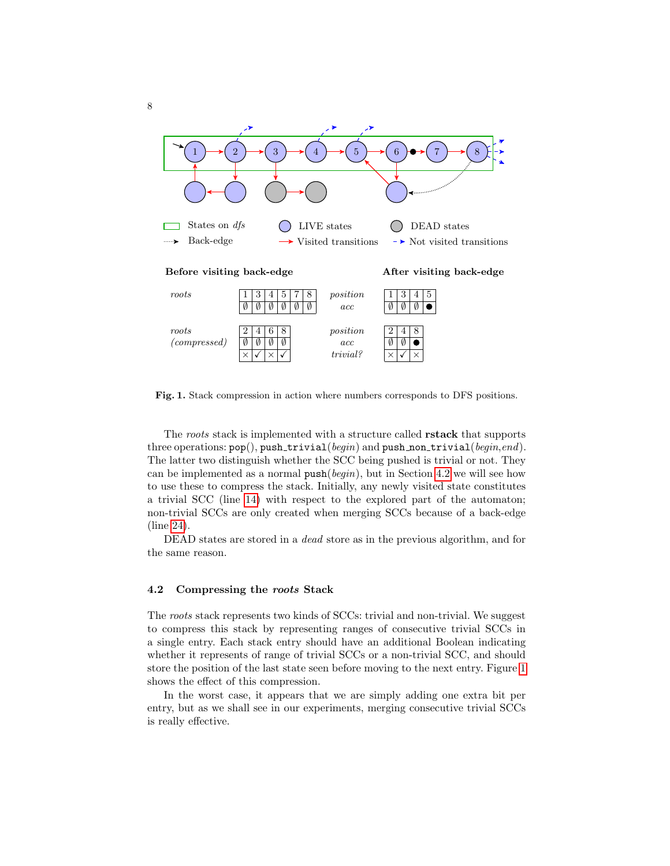

<span id="page-7-1"></span>Fig. 1. Stack compression in action where numbers corresponds to DFS positions.

The roots stack is implemented with a structure called **rstack** that supports three operations:  $pop(), push\_trivial(begin)$  and  $push\_non\_trivial(begin,end)$ . The latter two distinguish whether the SCC being pushed is trivial or not. They can be implemented as a normal  $push(begin)$ , but in Section [4.2](#page-7-0) we will see how to use these to compress the stack. Initially, any newly visited state constitutes a trivial SCC (line [14\)](#page-6-4) with respect to the explored part of the automaton; non-trivial SCCs are only created when merging SCCs because of a back-edge (line [24\)](#page-6-5).

DEAD states are stored in a dead store as in the previous algorithm, and for the same reason.

#### <span id="page-7-0"></span>4.2 Compressing the roots Stack

The roots stack represents two kinds of SCCs: trivial and non-trivial. We suggest to compress this stack by representing ranges of consecutive trivial SCCs in a single entry. Each stack entry should have an additional Boolean indicating whether it represents of range of trivial SCCs or a non-trivial SCC, and should store the position of the last state seen before moving to the next entry. Figure [1](#page-7-1) shows the effect of this compression.

In the worst case, it appears that we are simply adding one extra bit per entry, but as we shall see in our experiments, merging consecutive trivial SCCs is really effective.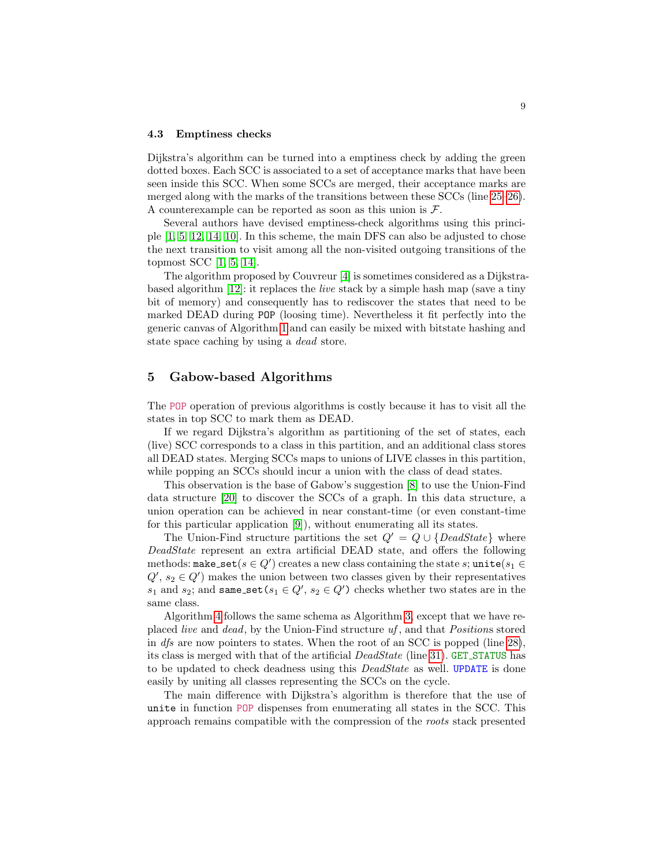#### 4.3 Emptiness checks

Dijkstra's algorithm can be turned into a emptiness check by adding the green dotted boxes. Each SCC is associated to a set of acceptance marks that have been seen inside this SCC. When some SCCs are merged, their acceptance marks are merged along with the marks of the transitions between these SCCs (line [25–](#page-6-6)[26\)](#page-6-7). A counterexample can be reported as soon as this union is  $\mathcal{F}$ .

Several authors have devised emptiness-check algorithms using this principle [\[1,](#page-13-0) [5,](#page-14-1) [12,](#page-14-2) [14,](#page-14-11) [10\]](#page-14-9). In this scheme, the main DFS can also be adjusted to chose the next transition to visit among all the non-visited outgoing transitions of the topmost SCC [\[1,](#page-13-0) [5,](#page-14-1) [14\]](#page-14-11).

The algorithm proposed by Couvreur [\[4\]](#page-14-12) is sometimes considered as a Dijkstrabased algorithm [\[12\]](#page-14-2): it replaces the live stack by a simple hash map (save a tiny bit of memory) and consequently has to rediscover the states that need to be marked DEAD during POP (loosing time). Nevertheless it fit perfectly into the generic canvas of Algorithm [1](#page-3-1) and can easily be mixed with bitstate hashing and state space caching by using a dead store.

## <span id="page-8-0"></span>5 Gabow-based Algorithms

The POP operation of previous algorithms is costly because it has to visit all the states in top SCC to mark them as DEAD.

If we regard Dijkstra's algorithm as partitioning of the set of states, each (live) SCC corresponds to a class in this partition, and an additional class stores all DEAD states. Merging SCCs maps to unions of LIVE classes in this partition, while popping an SCCs should incur a union with the class of dead states.

This observation is the base of Gabow's suggestion [\[8\]](#page-14-7) to use the Union-Find data structure [\[20\]](#page-14-10) to discover the SCCs of a graph. In this data structure, a union operation can be achieved in near constant-time (or even constant-time for this particular application [\[9\]](#page-14-13)), without enumerating all its states.

The Union-Find structure partitions the set  $Q' = Q \cup \{DeadState\}$  where DeadState represent an extra artificial DEAD state, and offers the following methods: make\_set $(s \in Q')$  creates a new class containing the state  $s$ ;  $\texttt{unite}(s_1 \in Q')$  $Q', s_2 \in Q'$  makes the union between two classes given by their representatives  $s_1$  and  $s_2$ ; and same\_set( $s_1 \in Q'$ ,  $s_2 \in Q'$ ) checks whether two states are in the same class.

Algorithm [4](#page-6-8) follows the same schema as Algorithm [3,](#page-6-0) except that we have replaced live and dead, by the Union-Find structure uf , and that Positions stored in dfs are now pointers to states. When the root of an SCC is popped (line [28\)](#page-6-9), its class is merged with that of the artificial *DeadState* (line [31\)](#page-6-10). GET\_STATUS has to be updated to check deadness using this *DeadState* as well. UPDATE is done easily by uniting all classes representing the SCCs on the cycle.

The main difference with Dijkstra's algorithm is therefore that the use of unite in function POP dispenses from enumerating all states in the SCC. This approach remains compatible with the compression of the roots stack presented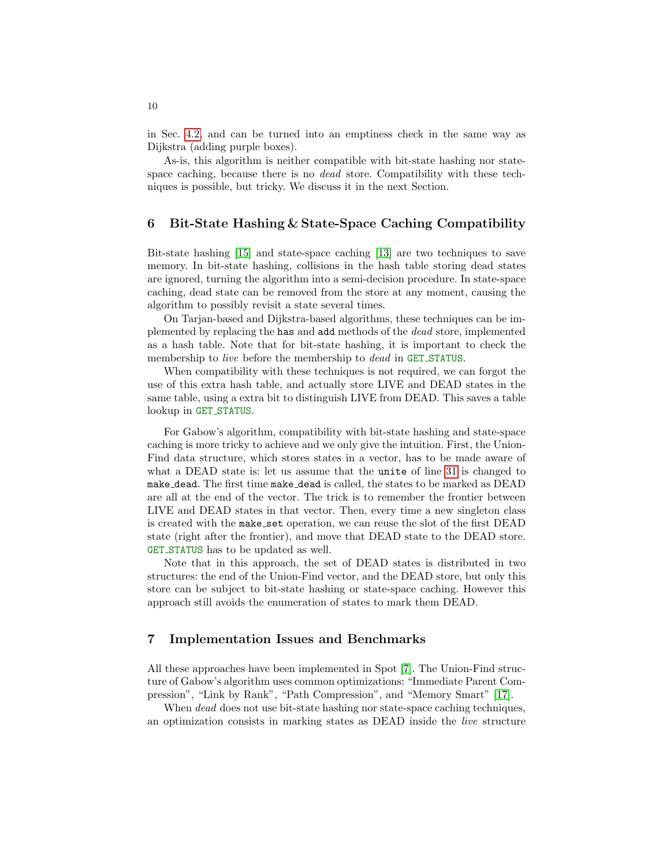in Sec. [4.2,](#page-7-0) and can be turned into an emptiness check in the same way as Dijkstra (adding purple boxes).

As-is, this algorithm is neither compatible with bit-state hashing nor statespace caching, because there is no *dead* store. Compatibility with these techniques is possible, but tricky. We discuss it in the next Section.

# <span id="page-9-0"></span>6 Bit-State Hashing & State-Space Caching Compatibility

Bit-state hashing [\[15\]](#page-14-3) and state-space caching [\[13\]](#page-14-4) are two techniques to save memory. In bit-state hashing, collisions in the hash table storing dead states are ignored, turning the algorithm into a semi-decision procedure. In state-space caching, dead state can be removed from the store at any moment, causing the algorithm to possibly revisit a state several times.

On Tarjan-based and Dijkstra-based algorithms, these techniques can be implemented by replacing the has and add methods of the dead store, implemented as a hash table. Note that for bit-state hashing, it is important to check the membership to *live* before the membership to *dead* in **GET\_STATUS**.

When compatibility with these techniques is not required, we can forgot the use of this extra hash table, and actually store LIVE and DEAD states in the same table, using a extra bit to distinguish LIVE from DEAD. This saves a table lookup in GET\_STATUS.

For Gabow's algorithm, compatibility with bit-state hashing and state-space caching is more tricky to achieve and we only give the intuition. First, the Union-Find data structure, which stores states in a vector, has to be made aware of what a DEAD state is: let us assume that the unite of line [31](#page-6-10) is changed to make dead. The first time make dead is called, the states to be marked as DEAD are all at the end of the vector. The trick is to remember the frontier between LIVE and DEAD states in that vector. Then, every time a new singleton class is created with the make set operation, we can reuse the slot of the first DEAD state (right after the frontier), and move that DEAD state to the DEAD store. GET STATUS has to be updated as well.

Note that in this approach, the set of DEAD states is distributed in two structures: the end of the Union-Find vector, and the DEAD store, but only this store can be subject to bit-state hashing or state-space caching. However this approach still avoids the enumeration of states to mark them DEAD.

# <span id="page-9-1"></span>7 Implementation Issues and Benchmarks

All these approaches have been implemented in Spot [\[7\]](#page-14-14). The Union-Find structure of Gabow's algorithm uses common optimizations: "Immediate Parent Compression", "Link by Rank", "Path Compression", and "Memory Smart" [\[17\]](#page-14-15).

When *dead* does not use bit-state hashing nor state-space caching techniques, an optimization consists in marking states as DEAD inside the live structure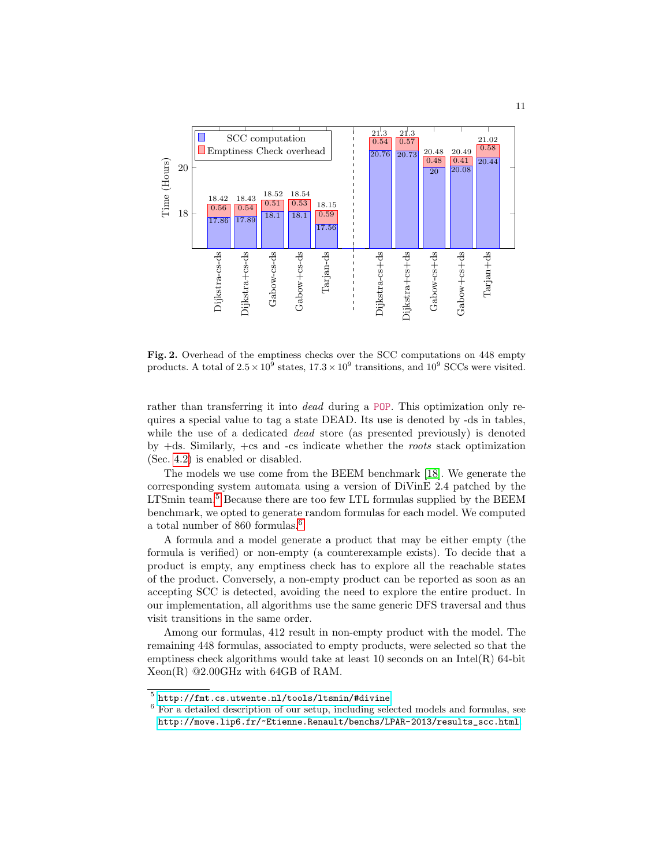

<span id="page-10-2"></span>Fig. 2. Overhead of the emptiness checks over the SCC computations on 448 empty products. A total of  $2.5 \times 10^9$  states,  $17.3 \times 10^9$  transitions, and  $10^9$  SCCs were visited.

rather than transferring it into *dead* during a POP. This optimization only requires a special value to tag a state DEAD. Its use is denoted by -ds in tables, while the use of a dedicated *dead* store (as presented previously) is denoted by  $+ds$ . Similarly,  $+cs$  and  $-cs$  indicate whether the *roots* stack optimization (Sec. [4.2\)](#page-7-0) is enabled or disabled.

The models we use come from the BEEM benchmark [\[18\]](#page-14-16). We generate the corresponding system automata using a version of DiVinE 2.4 patched by the LTSmin team.<sup>[5](#page-10-0)</sup> Because there are too few LTL formulas supplied by the BEEM benchmark, we opted to generate random formulas for each model. We computed a total number of 860 formulas.[6](#page-10-1)

A formula and a model generate a product that may be either empty (the formula is verified) or non-empty (a counterexample exists). To decide that a product is empty, any emptiness check has to explore all the reachable states of the product. Conversely, a non-empty product can be reported as soon as an accepting SCC is detected, avoiding the need to explore the entire product. In our implementation, all algorithms use the same generic DFS traversal and thus visit transitions in the same order.

Among our formulas, 412 result in non-empty product with the model. The remaining 448 formulas, associated to empty products, were selected so that the emptiness check algorithms would take at least 10 seconds on an Intel $(R)$  64-bit  $Xeon(R)$  @2.00GHz with 64GB of RAM.

<span id="page-10-0"></span><sup>5</sup> <http://fmt.cs.utwente.nl/tools/ltsmin/#divine>

<span id="page-10-1"></span> $6$  For a detailed description of our setup, including selected models and formulas, see [http://move.lip6.fr/~Etienne.Renault/benchs/LPAR-2013/results\\_scc.html](http://move.lip6.fr/~Etienne.Renault/benchs/LPAR-2013/results_scc.html).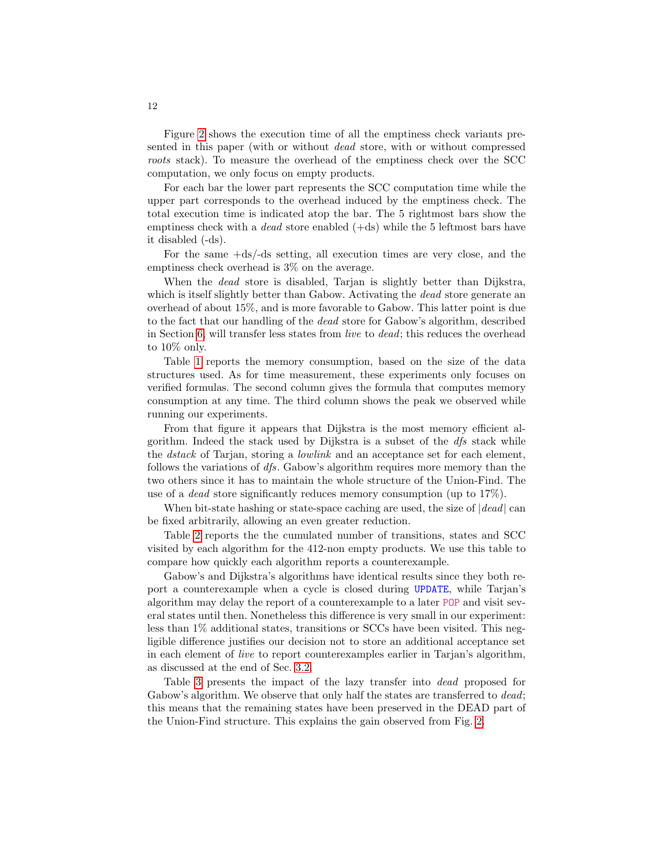Figure [2](#page-10-2) shows the execution time of all the emptiness check variants presented in this paper (with or without dead store, with or without compressed roots stack). To measure the overhead of the emptiness check over the SCC computation, we only focus on empty products.

For each bar the lower part represents the SCC computation time while the upper part corresponds to the overhead induced by the emptiness check. The total execution time is indicated atop the bar. The 5 rightmost bars show the emptiness check with a *dead* store enabled  $(+ds)$  while the 5 leftmost bars have it disabled (-ds).

For the same +ds/-ds setting, all execution times are very close, and the emptiness check overhead is 3% on the average.

When the dead store is disabled, Tarjan is slightly better than Dijkstra, which is itself slightly better than Gabow. Activating the *dead* store generate an overhead of about 15%, and is more favorable to Gabow. This latter point is due to the fact that our handling of the dead store for Gabow's algorithm, described in Section [6,](#page-9-0) will transfer less states from live to dead; this reduces the overhead to 10% only.

Table [1](#page-12-0) reports the memory consumption, based on the size of the data structures used. As for time measurement, these experiments only focuses on verified formulas. The second column gives the formula that computes memory consumption at any time. The third column shows the peak we observed while running our experiments.

From that figure it appears that Dijkstra is the most memory efficient algorithm. Indeed the stack used by Dijkstra is a subset of the *dfs* stack while the dstack of Tarjan, storing a lowlink and an acceptance set for each element, follows the variations of *dfs*. Gabow's algorithm requires more memory than the two others since it has to maintain the whole structure of the Union-Find. The use of a dead store significantly reduces memory consumption (up to 17%).

When bit-state hashing or state-space caching are used, the size of  $|dead|$  can be fixed arbitrarily, allowing an even greater reduction.

Table [2](#page-12-1) reports the the cumulated number of transitions, states and SCC visited by each algorithm for the 412-non empty products. We use this table to compare how quickly each algorithm reports a counterexample.

Gabow's and Dijkstra's algorithms have identical results since they both report a counterexample when a cycle is closed during UPDATE, while Tarjan's algorithm may delay the report of a counterexample to a later POP and visit several states until then. Nonetheless this difference is very small in our experiment: less than 1% additional states, transitions or SCCs have been visited. This negligible difference justifies our decision not to store an additional acceptance set in each element of live to report counterexamples earlier in Tarjan's algorithm, as discussed at the end of Sec. [3.2.](#page-5-0)

Table [3](#page-12-2) presents the impact of the lazy transfer into dead proposed for Gabow's algorithm. We observe that only half the states are transferred to *dead*; this means that the remaining states have been preserved in the DEAD part of the Union-Find structure. This explains the gain observed from Fig. [2.](#page-10-2)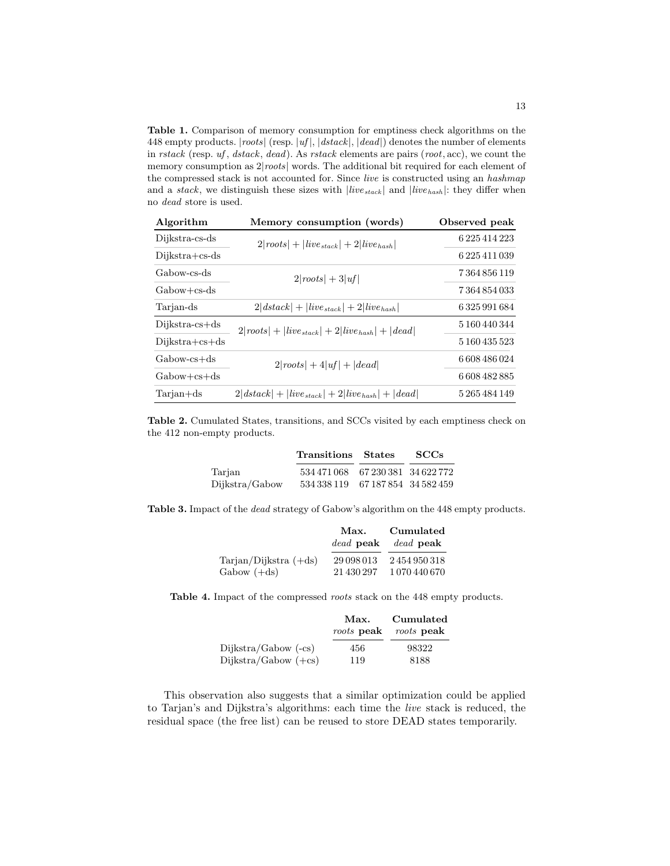<span id="page-12-0"></span>Table 1. Comparison of memory consumption for emptiness check algorithms on the 448 empty products. | roots| (resp. |uf|, |dstack|, |dead|) denotes the number of elements in rstack (resp.  $uf$ ,  $dstack$ ,  $dead$ ). As rstack elements are pairs (root, acc), we count the memory consumption as  $2|roots|$  words. The additional bit required for each element of the compressed stack is not accounted for. Since live is constructed using an hashmap and a stack, we distinguish these sizes with  $|live_{stack}|$  and  $|live_{hash}|$ : they differ when no dead store is used.

| Algorithm            | Memory consumption (words)                                                           | Observed peak       |
|----------------------|--------------------------------------------------------------------------------------|---------------------|
| Dijkstra-cs-ds       | $2 roots  +  live_{stack}  + 2 live_{hash} $                                         | 6 2 2 5 4 1 4 2 2 3 |
| $Dijkstra + cs - ds$ |                                                                                      | 6 2 2 5 4 1 1 0 3 9 |
| Gabow-cs-ds          | $2 roots  + 3 uf $                                                                   | 7364856119          |
| $Gabow + cs - ds$    |                                                                                      | 7364854033          |
| Tarjan-ds            | $2 $ dstack $  +  $ live <sub>stack</sub> $  + 2 $ live <sub>hash</sub>              | 6325991684          |
| $Dijkstra-cs+ds$     | $2 roots  +  live_{stack}  + 2 live_{hash}  +  dead $                                | 5 160 440 344       |
| $Dijkstra+cs+ds$     |                                                                                      | 5 160 435 523       |
| $Gabow-cs+ds$        | $2 roots  + 4 uf  +  dead $                                                          | 6 608 486 024       |
| $Gabow + cs + ds$    |                                                                                      | 6608482885          |
| $Tarjan + ds$        | $2 $ dstack $  +  $ live <sub>stack</sub> $  + 2 $ live <sub>hash</sub> $  +  $ dead | 5 265 484 149       |

<span id="page-12-1"></span>Table 2. Cumulated States, transitions, and SCCs visited by each emptiness check on the 412 non-empty products.

|                | Transitions States                | SCCs |
|----------------|-----------------------------------|------|
| Tarjan         | 534 471 068 67 230 381 34 622 772 |      |
| Dijkstra/Gabow | 534 338 119 67 187 854 34 582 459 |      |

Table 3. Impact of the *dead* strategy of Gabow's algorithm on the 448 empty products.

<span id="page-12-2"></span>

|                       | Max.             | Cumulated        |  |
|-----------------------|------------------|------------------|--|
|                       | <i>dead</i> peak | <i>dead</i> peak |  |
| Tarjan/Dijkstra (+ds) | 29 09 8 01 3     | 2454950318       |  |
| Gabow (+ds)           | 21 430 297       | 1 070 440 670    |  |

Table 4. Impact of the compressed *roots* stack on the 448 empty products.

<span id="page-12-3"></span>

|                        | Max.<br>roots <b>peak</b> | Cumulated<br>roots <b>peak</b> |  |
|------------------------|---------------------------|--------------------------------|--|
| Dijkstra/Gabow (-cs)   | 456                       | 98322                          |  |
| $Dijkstra/Gabow (+cs)$ | 119                       | 8188                           |  |

This observation also suggests that a similar optimization could be applied to Tarjan's and Dijkstra's algorithms: each time the live stack is reduced, the residual space (the free list) can be reused to store DEAD states temporarily.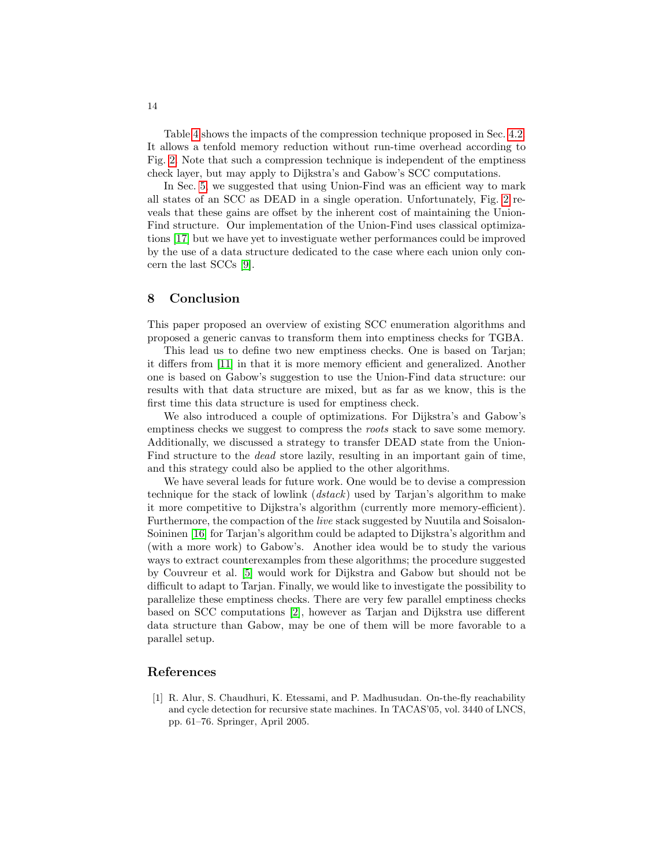Table [4](#page-12-3) shows the impacts of the compression technique proposed in Sec. [4.2.](#page-7-0) It allows a tenfold memory reduction without run-time overhead according to Fig. [2.](#page-10-2) Note that such a compression technique is independent of the emptiness check layer, but may apply to Dijkstra's and Gabow's SCC computations.

In Sec. [5,](#page-8-0) we suggested that using Union-Find was an efficient way to mark all states of an SCC as DEAD in a single operation. Unfortunately, Fig. [2](#page-10-2) reveals that these gains are offset by the inherent cost of maintaining the Union-Find structure. Our implementation of the Union-Find uses classical optimizations [\[17\]](#page-14-15) but we have yet to investiguate wether performances could be improved by the use of a data structure dedicated to the case where each union only concern the last SCCs [\[9\]](#page-14-13).

# 8 Conclusion

This paper proposed an overview of existing SCC enumeration algorithms and proposed a generic canvas to transform them into emptiness checks for TGBA.

This lead us to define two new emptiness checks. One is based on Tarjan; it differs from [\[11\]](#page-14-8) in that it is more memory efficient and generalized. Another one is based on Gabow's suggestion to use the Union-Find data structure: our results with that data structure are mixed, but as far as we know, this is the first time this data structure is used for emptiness check.

We also introduced a couple of optimizations. For Dijkstra's and Gabow's emptiness checks we suggest to compress the *roots* stack to save some memory. Additionally, we discussed a strategy to transfer DEAD state from the Union-Find structure to the dead store lazily, resulting in an important gain of time, and this strategy could also be applied to the other algorithms.

We have several leads for future work. One would be to devise a compression technique for the stack of lowlink (dstack) used by Tarjan's algorithm to make it more competitive to Dijkstra's algorithm (currently more memory-efficient). Furthermore, the compaction of the live stack suggested by Nuutila and Soisalon-Soininen [\[16\]](#page-14-17) for Tarjan's algorithm could be adapted to Dijkstra's algorithm and (with a more work) to Gabow's. Another idea would be to study the various ways to extract counterexamples from these algorithms; the procedure suggested by Couvreur et al. [\[5\]](#page-14-1) would work for Dijkstra and Gabow but should not be difficult to adapt to Tarjan. Finally, we would like to investigate the possibility to parallelize these emptiness checks. There are very few parallel emptiness checks based on SCC computations [\[2\]](#page-14-18), however as Tarjan and Dijkstra use different data structure than Gabow, may be one of them will be more favorable to a parallel setup.

#### References

<span id="page-13-0"></span>[1] R. Alur, S. Chaudhuri, K. Etessami, and P. Madhusudan. On-the-fly reachability and cycle detection for recursive state machines. In TACAS'05, vol. 3440 of LNCS, pp. 61–76. Springer, April 2005.